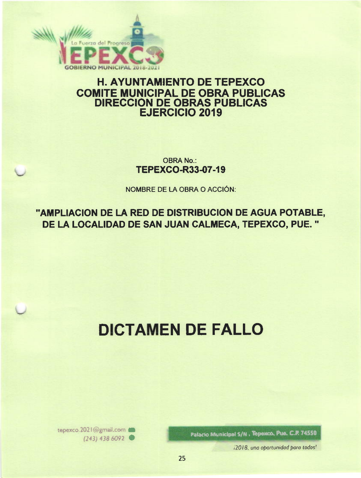

# **H. AYUNTAMIENTO DE TEPEXCO COMITE MUNICIPAL DE OBRA PUBLICAS DIRECCION DE OBRAS PUBLICAS EJERCICIO 2019**

**OBRA No.: TEPEXCO-R33-07-19** 

**NOMBRE DE LA OBRA O ACCIÓN:** 

"AMPLIACION DE LA RED DE DISTRIBUCION DE AGUA POTABLE, DE LA LOCALIDAD DE SAN JUAN CALMECA, TEPEXCO, PUE."

# **DICTAMEN DE FALLO**

Palacio Municipal S/N, Tepesco, Pue, C.P. 74550

i2018, una oportunidad para todos!

tepexco.2021@gmail.com  $(243)$  438 6092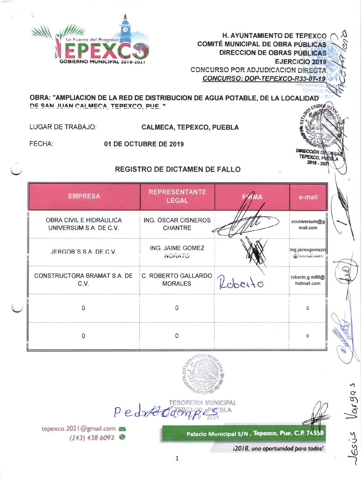

> **DIRECCIÓN D** TEPEXCO, PUER  $2018 - 202$

OBRA: "AMPLIACION DE LA RED DE DISTRIBUCION DE AGUA POTABLE, DE LA LOCALIDAD DE SAN JUAN CALMECA, TEPEXCO, PUE, " UNID<sub>06</sub>

LUGAR DE TRABAJO:

**CALMECA, TEPEXCO, PUEBLA** 

FECHA:

01 DE OCTUBRE DE 2019

# **REGISTRO DE DICTAMEN DE FALLO**

| <b>EMPRESA</b>                                    | <b>REPRESENTANTE</b><br><b>LEGAL</b>         |         | e-mail                          |
|---------------------------------------------------|----------------------------------------------|---------|---------------------------------|
| OBRA CIVIL E HIDRÁULICA<br>UNIVERSUM S.A. DE C.V. | ING. ÓSCAR CISNEROS<br><b>CHANTRE</b>        |         | ocuniversum@g<br>mail.com       |
| JERGOB'S S.A. DE C.V.                             | ING. JAIME GOMEZ<br>NUIVATU                  |         | ing.jaimegomezn<br>@hounali.com |
| CONSTRUCTORA BRAMAT S.A. DE<br>C.V.               | <b>C. ROBERTO GALLARDO</b><br><b>MORALES</b> | Roberto | roberto.g.m90@<br>hotmail.com   |
| O                                                 | 0                                            |         | n.                              |
| 0                                                 | Ω                                            |         | 0                               |





Palacio Municipal S/N , Tepexco, Pue. C.P. 74550

i2018, una oportunidad para todos!

 $1019$ 

lesje

tepexco.2021@gmail.com  $(243)$  438 6092

Pedrfordas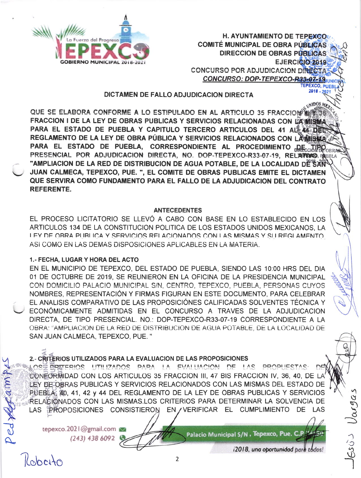

H. AYUNTAMIENTO DE TEPEXCO COMITÉ MUNICIPAL DE OBRA PÚBLICAS DIRECCION DE OBRAS PÚBLICAS GBIERNO MUNICIPAL 2018-2021 **FOR A CONTROL 2018** CONCURSO POR ADJUDICACION DIRECTAS CONCURSO: DOP-TEPEXCO-R33-07-19 TEPEXCO, PUEB

 $2018 - 202$ 

#### DICTAMEN DE FALLO ADJUDICACION DIRECTA

QUE SE ELABORA CONFORME A LO ESTIPULADO EN AL ARTICULO 35 FRACCIONS FRACCION I DE LA LEY DE OBRAS PUBLICAS Y SERVICIOS RELACIONADAS CON LA MISMA PARA EL ESTADO DE PUEBLA Y CAPITULO TERCERO ARTICULOS DEL 41 ALLA ADEL REGLAMENTO DE LA LEY DE OBRA PÚBLICA Y SERVICIOS RELACIONADOS CON LA MISMA PARA EL ESTADO DE PUEBLA, CORRESPONDIENTE AL PROCEDIMIENTO RECCIPIODERA PRESENCIAL POR ADJUDICACION DIRECTA, NO. DOP-TEPEXCO-R33-07-19, RELATING, REBLA "AMPLIACION DE LA RED DE DISTRIBUCION DE AGUA POTABLE, DE LA LOCALIDAD DÊ SAN JUAN CALMECA, TEPEXCO, PUE. ", EL COMITE DE OBRAS PUBLICAS EMITE EL DICTAMEN QUE SERVIRA COMO FUNDAMENTO PARA EL FALLO DE LA ADJUDICACION DEL CONTRATO REFERENTE.

#### ANTECEDENTES

EL PROCESO LICITATORIO SE LLEVÓ A CABO CON BASE EN LO ESTABLECIDO EN LOS ARTICULOS 134 DE LA CONSTITUCION POLITICA DE LOS ESTADOS UNIDOS MEXICANOS, LA I FY DE OBRA PLIBLICA Y SERVICIOS RELACIONADOS CON LAS MISMAS Y SU REGI AMENTO. ASI COMO EN LAS DEMAS DISPOSICIONES APLICABLES EN LA MATERÍA.

#### 1.. FECHA, LUGAR Y HORA DEL ACTO

EN EL MUNICIPIO DE TEPEXCO, DEL ESTADO DE PUEBLA, SIENDO LAS 10:00 HRS DEL DIA 01 DE OCTUBRE DE 2019, SE REUNIERON EN LA OFICINA DE LA PRESIDENCIA MUNICIPAL CON DOMICILIO PALACIO MUNICIPAL S/N, CENTRO, TEPEXCO, PUEBLA, PERSONAS CUYOS NOMBRES, REPRESENTACIÓN Y FIRMAS FIGURAN EN ESTE DOCUMENTO, PARA CELEBRAR EL ANALISIS COMPARATIVO DE LAS PROPOSICIÓNES CALIFICADAS SOLVENTES TÉCNICA Y \-/ ECONÓMICAMENTE ADMITIDAS EN EL CONCURSO A TRAVES DE LA ADJUDICACION DIRECTA, DE TIPO PRESENCIAL. NO.: DOP-TEPEXCO-R33-07-19 CORRESPONDIENTE A LA OBRA: "AMPLIACION DE LA RED DE DISTRIBUCION DE AGUA POTABLE, DE LA LOCALIDAD DE SAN JUAN CALMECA, TEPEXCO, PUE. "

#### 2.- CRITERIOS UTILIZADOS PARA LA EVALUACION DE LAS PROPOSICIONES

LOSE EPITERIOS UTILIZADOS PARA LA EVALLIACION DE LAS PROPUESTAS ∩₫ CONEORMIDAD CON LOS ARTICULOS 35 FRACCION III, 47 BIS FRACCION IV, 36, 40, DE LA LEY DE OBRAS PUBLICAS Y SERVICIOS RELACIONADOS CON LAS MISMAS DEL ESTADO DE PUEBLA, 40, 41, 42 y 44 DEL REGLAMENTO DE LA LEY DE OBRAS PUBLICAS Y SERVICIOS **RELAGIONADOS CON LAS MISMAS.LOS CRITERIOS PARA DETERMINAR LA SOLVENCIA DE** LAS PROPOSICIONES CONSISTIERON EN / VERIFICAR EL CUMPLIMIENTO DE LAS

tepexco.202 | @gmail.com (243) 438 6092

Patacio Municipal S/N , Tepexco, Pue. C.P

Kobcito

 $\sigma$ A.

i2018, una oportunidad para todos!

 $\mathcal{L}$ § P Š -)

 $\sum_{i=1}^n$ 

 $J$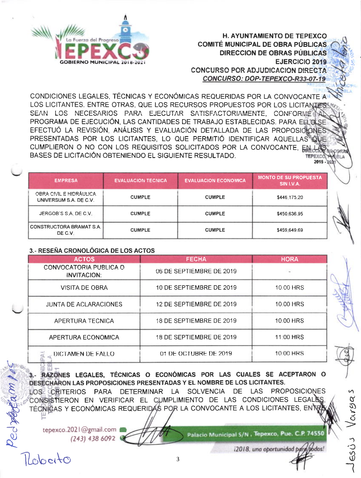

CONDICIONES LEGALES, TÉCNICAS Y ECONÓMICAS REQUERIDAS POR LA CONVOCANTE A LOS LICITANTES. ENTRE OTRAS. QUE LOS RECURSOS PROPUESTOS POR LOS LICITANIES SEAN LOS NECESARIOS PARA EJECUTAR SATISFACTORIAMENTE, CONFORMET PROGRAMA DE EJECUCIÓN. LAS CANTIDADES DE TRABAJO ESTABLECIDAS. PARA EL OLSE EFECTUÓ LA REVISIÓN. ANÁLISIS Y EVALUACIÓN DETALLADA DE LAS PROPOSICIONES PRESENTADAS POR LOS LICITANTES, LO QUE PERMITIÓ IDENTIFICAR AQUELLAS QUE CUMPLIERON O NO CON LOS REQUISITOS SOLICITADOS POR LA CONVOCANTE, EN BASES DE LICITACIÓN OBTENIENDO EL SIGUIENTE RESULTADO. 2018

| <b>EMPRESA</b>                                    | <b>EVALUACION TECNICA</b> | <b>EVALUACION ECONOMICA</b> | <b>MONTO DE SU PROPUESTA</b><br>SIN I.V.A. |
|---------------------------------------------------|---------------------------|-----------------------------|--------------------------------------------|
| OBRA CIVIL E HIDRÁULICA<br>UNIVERSUM S.A. DE C.V. | <b>CUMPLE</b>             | <b>CUMPLE</b>               | \$446,175.20                               |
| JERGOB'S S.A. DE C.V.                             | <b>CUMPLE</b>             | <b>CUMPLE</b>               | \$450,636.95                               |
| <b>CONSTRUCTORA BRAMAT S.A.</b><br>DE C.V.        | <b>CUMPLE</b>             | <b>CUMPLE</b>               | \$459,649.69                               |

#### 3.- RESEÑA CRONOLÓGICA DE LOS ACTOS

| <b>ACTOS</b>                                 | <b>FECHA</b>             | <b>HORA</b> |
|----------------------------------------------|--------------------------|-------------|
| CONVOCATORIA PUBLICA O<br><b>INVITACION:</b> | 06 DE SEPTIEMBRE DE 2019 |             |
| <b>VISITA DE OBRA</b>                        | 10 DE SEPTIEMBRE DE 2019 | 10:00 HRS   |
| <b>JUNTA DE ACLARACIONES</b>                 | 12 DE SEPTIEMBRE DE 2019 | 10:00 HRS   |
| APERTURA TECNICA                             | 18 DE SEPTIEMBRE DE 2019 | 10:00 HRS   |
| APERTURA ECONOMICA                           | 18 DE SEPTIEMBRE DE 2019 | 11:00 HRS   |
| DICTAMEN DE FALLO                            | 01 DE OCTUBRE DE 2019    | 10:00 HRS   |

3. RAZONES LEGALES, TÉCNICAS O ECONÓMICAS POR LAS CUALES SE ACEPTARON O DESECHARON LAS PROPOSICIONES PRESENTADAS Y EL NOMBRE DE LOS LICITANTES.

LOS CRITERIOS PARA DETERMINAR LA SOLVENCIA DE LAS PROPOSICIONES CONSISTIERON EN VERIFICAR EL CUMPLIMIENTO DE LAS CONDICIONES LEGALE TÉCNICAS Y ECONÓMICAS REQUERIDAS POR LA CONVOCANTE A LOS LICITANTES, ENTE

tepexco.2021@gmail.com  $(243)$  438 6092

llobeito

ped perfam pre

Palacio Municipal S/N, Tepexco, Pue. C.P. 74550

i2018, una oportunidad para/todos!

Varsa

 $630J$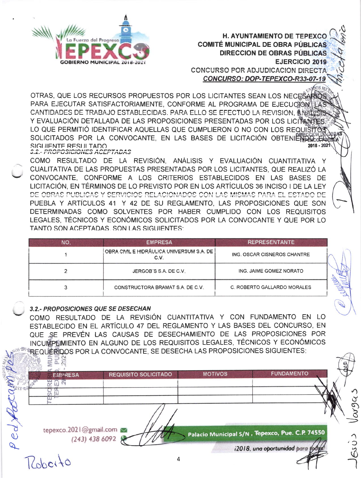

OTRAS, QUE LOS RECURSOS PROPUESTOS POR LOS LICITANTES SEAN LOS NECESARIOS PARA EJECUTAR SATISFACTORIAMENTE, CONFORME AL PROGRAMA DE EJECUCIÓN LA CANTIDADES DE TRABAJO ESTABLECIDAS, PARA ELLO SE EFECTUÓ LA REVISIÓN, ANYIN Y EVALUACIÓN DETALLADA DE LAS PROPOSICIONES PRESENTADAS POR LOS LICITANTES LO QUE PERMITIÓ IDENTIFICAR AQUELLAS QUE CUMPLIERON O NO CON LOS REQUISITO SOLICITADOS POR LA CONVOCANTE, EN LAS BASES DE LICITACIÓN OBTENIENDO-SIGUIFNTE RESULTADO 2018 - 202 **S.2.- PROPOSICIONES ACEPTADAS** 

COMO RESULTADO DE LA REVISIÓN. ANÁLISIS Y EVALUACIÓN CUANTITATIVA Y CUALITATIVA DE LAS PROPUESTAS PRESENTADAS POR LOS LICITANTES. QUE REALIZÓ LA CONVOCANTE, CONFORME A LOS CRITERIOS ESTABLECIDOS EN LAS BASES DE LICITACIÓN. EN TÉRMINOS DE LO PREVISTO POR EN LOS ARTÍCULOS 36 INCISO I DE LA LEY DE OBRAS PUBLICAS Y SERVICIOS RELACIONADOS CON LAS MISMAS PARA EL ESTADO DE PUEBLA Y ARTÍCULOS 41 Y 42 DE SU REGLAMENTO, LAS PROPOSICIONES QUE SON DETERMINADAS COMO SOLVENTES POR HABER CUMPLIDO CON LOS REQUISITOS LEGALES. TÉCNICOS Y ECONÓMICOS SOLICITADOS POR LA CONVOCANTE Y QUE POR LO TANTO SON ACEPTADAS, SON LAS SIGUIENTES:

| NO. | <b>EMPRESA</b>                                    | <b>REPRESENTANTE</b>        |
|-----|---------------------------------------------------|-----------------------------|
|     | OBRA CIVIL E HIDRÁULICA UNIVERSUM S.A. DE<br>C.V. | ING. OSCAR CISNEROS CHANTRE |
|     | JERGOB'S S.A. DE C.V.                             | ING. JAIME GOMEZ NORATO     |
|     | CONSTRUCTORA BRAMAT S.A. DE C.V.                  | C. ROBERTO GALLARDO MORALES |

## 3.2.- PROPOSICIONES QUE SE DESECHAN

228

COMO RESULTADO DE LA REVISIÓN CUANTITATIVA Y CON FUNDAMENTO EN LO ESTABLECIDO EN EL ARTÍCULO 47 DEL REGLAMENTO Y LAS BASES DEL CONCURSO. EN QUE SE PREVÉN LAS CAUSAS DE DESECHAMIENTO DE LAS PROPOSICIONES POR INCUMPLIMIENTO EN ALGUNO DE LOS REQUISITOS LEGALES, TÉCNICOS Y ECONÓMICOS REQUERIDOS POR LA CONVOCANTE, SE DESECHA LAS PROPOSICIONES SIGUIENTES:

|               | <b>EMPRESA</b>         | <b>REQUISITO SOLICITADO</b> | <b>MOTIVOS</b> | <b>FUNDAMENTO</b>                                |            |
|---------------|------------------------|-----------------------------|----------------|--------------------------------------------------|------------|
|               |                        |                             |                |                                                  |            |
|               |                        |                             |                |                                                  | $\sqrt{ }$ |
|               |                        |                             |                |                                                  |            |
|               |                        |                             |                |                                                  | ه          |
|               |                        |                             |                |                                                  |            |
|               |                        |                             |                |                                                  |            |
|               | tepexco.2021@gmail.com |                             |                | Palacio Municipal S/N , Tepexco, Pue. C.P. 74550 |            |
| $\bm{\theta}$ |                        | $(243)$ 438 6092            |                |                                                  |            |
| $\mathcal{D}$ |                        |                             |                | i2018, una oportunidad para toda,                |            |
|               |                        |                             |                |                                                  |            |
|               |                        |                             |                |                                                  |            |